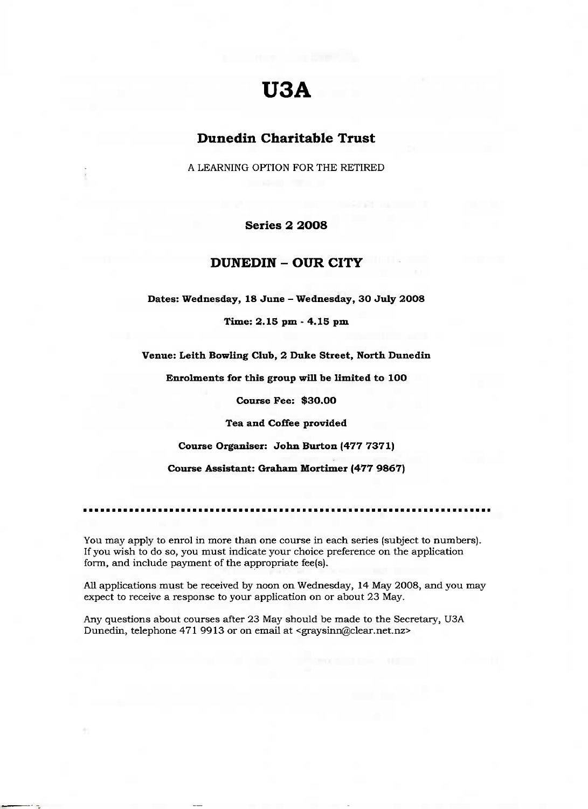## **U3A**

## **Dunedin Charitable Trust**

A LEARNING OPTION FOR THE RETIRED

**Series 2 2008**

## **DUNEDIN - OUR CITY**

**Dates: Wednesday, 18 June - Wednesday, 30 July 2008**

**Time: 2.15 pm - 4.15 pm**

**Venue: Leith Bowling Club, 2 Duke Street, North Dunedin**

**Enrolments for this group will be limited to 100**

**Course Fee: \$30.00**

**Tea and Coffee provided**

**Course Organiser: John Burton (477 7371)**

**Course Assistant: Graham Mortimer (477 9867)**

You may apply to enrol in more than one course in each series (subject to numbers). If you wish to do so, you must indicate your choice preference on the application form, and include payment of the appropriate fee(s).

All applications must be received by noon on Wednesday, 14 May 2008, and you may expect to receive a response to your application on or about 23 May.

Any questions about courses after 23 May should be made to the Secretary, U3A Dunedin, telephone 471 9913 or on email at <graysinn@clear.net.nz>